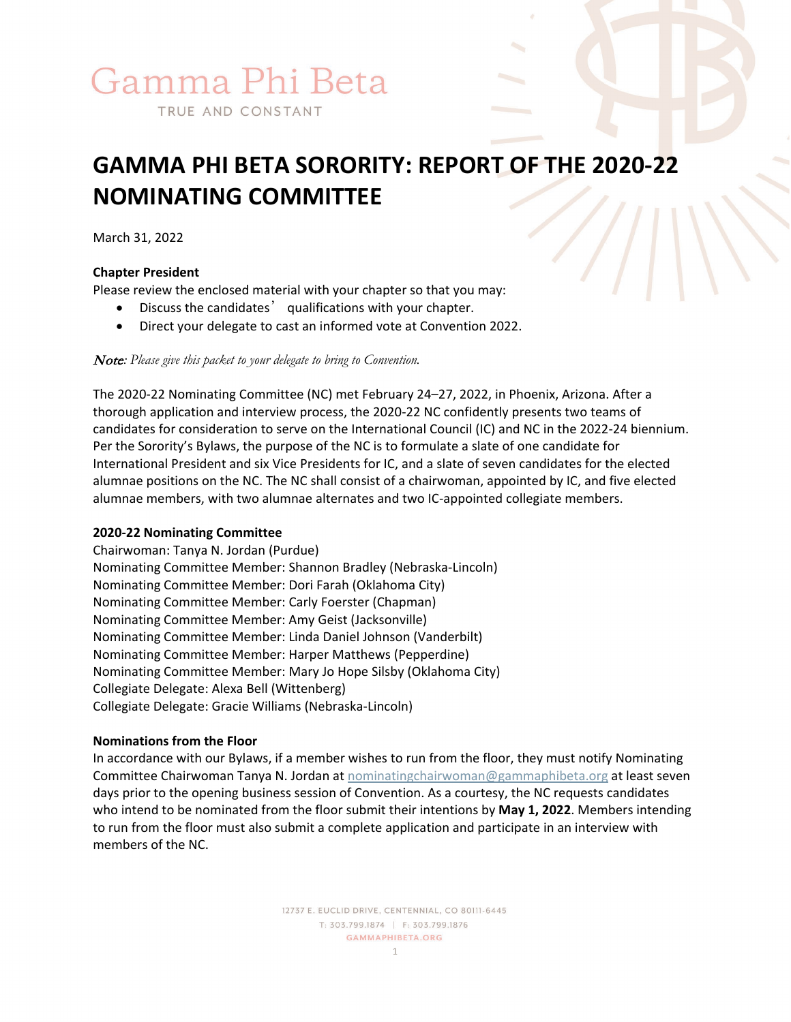# Gamma Phi Beta

TRUE AND CONSTANT

# **GAMMA PHI BETA SORORITY: REPORT OF THE 2020-22 NOMINATING COMMITTEE**

March 31, 2022

# **Chapter President**

Please review the enclosed material with your chapter so that you may:

- Discuss the candidates' qualifications with your chapter.
- Direct your delegate to cast an informed vote at Convention 2022.

Note*: Please give this packet to your delegate to bring to Convention.* 

The 2020-22 Nominating Committee (NC) met February 24–27, 2022, in Phoenix, Arizona. After a thorough application and interview process, the 2020-22 NC confidently presents two teams of candidates for consideration to serve on the International Council (IC) and NC in the 2022-24 biennium. Per the Sorority's Bylaws, the purpose of the NC is to formulate a slate of one candidate for International President and six Vice Presidents for IC, and a slate of seven candidates for the elected alumnae positions on the NC. The NC shall consist of a chairwoman, appointed by IC, and five elected alumnae members, with two alumnae alternates and two IC-appointed collegiate members.

#### **2020-22 Nominating Committee**

Chairwoman: Tanya N. Jordan (Purdue) Nominating Committee Member: Shannon Bradley (Nebraska-Lincoln) Nominating Committee Member: Dori Farah (Oklahoma City) Nominating Committee Member: Carly Foerster (Chapman) Nominating Committee Member: Amy Geist (Jacksonville) Nominating Committee Member: Linda Daniel Johnson (Vanderbilt) Nominating Committee Member: Harper Matthews (Pepperdine) Nominating Committee Member: Mary Jo Hope Silsby (Oklahoma City) Collegiate Delegate: Alexa Bell (Wittenberg) Collegiate Delegate: Gracie Williams (Nebraska-Lincoln)

# **Nominations from the Floor**

In accordance with our Bylaws, if a member wishes to run from the floor, they must notify Nominating Committee Chairwoman Tanya N. Jordan at [nominatingchairwoman@gammaphibeta.org](mailto:nominatingchairwoman@gammaphibeta.org) at least seven days prior to the opening business session of Convention. As a courtesy, the NC requests candidates who intend to be nominated from the floor submit their intentions by **May 1, 2022**. Members intending to run from the floor must also submit a complete application and participate in an interview with members of the NC.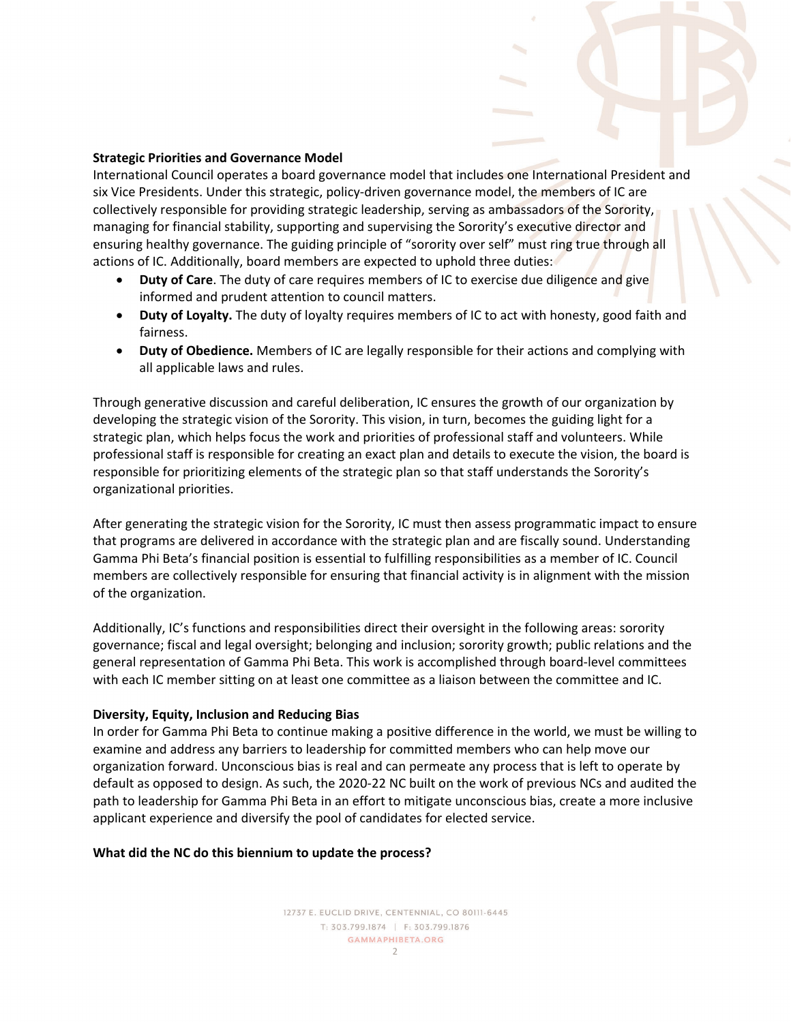#### **Strategic Priorities and Governance Model**

International Council operates a board governance model that includes one International President and six Vice Presidents. Under this strategic, policy-driven governance model, the members of IC are collectively responsible for providing strategic leadership, serving as ambassadors of the Sorority, managing for financial stability, supporting and supervising the Sorority's executive director and ensuring healthy governance. The guiding principle of "sorority over self" must ring true through all actions of IC. Additionally, board members are expected to uphold three duties:

- **Duty of Care**. The duty of care requires members of IC to exercise due diligence and give informed and prudent attention to council matters.
- **Duty of Loyalty.** The duty of loyalty requires members of IC to act with honesty, good faith and fairness.
- **Duty of Obedience.** Members of IC are legally responsible for their actions and complying with all applicable laws and rules.

Through generative discussion and careful deliberation, IC ensures the growth of our organization by developing the strategic vision of the Sorority. This vision, in turn, becomes the guiding light for a strategic plan, which helps focus the work and priorities of professional staff and volunteers. While professional staff is responsible for creating an exact plan and details to execute the vision, the board is responsible for prioritizing elements of the strategic plan so that staff understands the Sorority's organizational priorities.

After generating the strategic vision for the Sorority, IC must then assess programmatic impact to ensure that programs are delivered in accordance with the strategic plan and are fiscally sound. Understanding Gamma Phi Beta's financial position is essential to fulfilling responsibilities as a member of IC. Council members are collectively responsible for ensuring that financial activity is in alignment with the mission of the organization.

Additionally, IC's functions and responsibilities direct their oversight in the following areas: sorority governance; fiscal and legal oversight; belonging and inclusion; sorority growth; public relations and the general representation of Gamma Phi Beta. This work is accomplished through board-level committees with each IC member sitting on at least one committee as a liaison between the committee and IC.

#### **Diversity, Equity, Inclusion and Reducing Bias**

In order for Gamma Phi Beta to continue making a positive difference in the world, we must be willing to examine and address any barriers to leadership for committed members who can help move our organization forward. Unconscious bias is real and can permeate any process that is left to operate by default as opposed to design. As such, the 2020-22 NC built on the work of previous NCs and audited the path to leadership for Gamma Phi Beta in an effort to mitigate unconscious bias, create a more inclusive applicant experience and diversify the pool of candidates for elected service.

#### **What did the NC do this biennium to update the process?**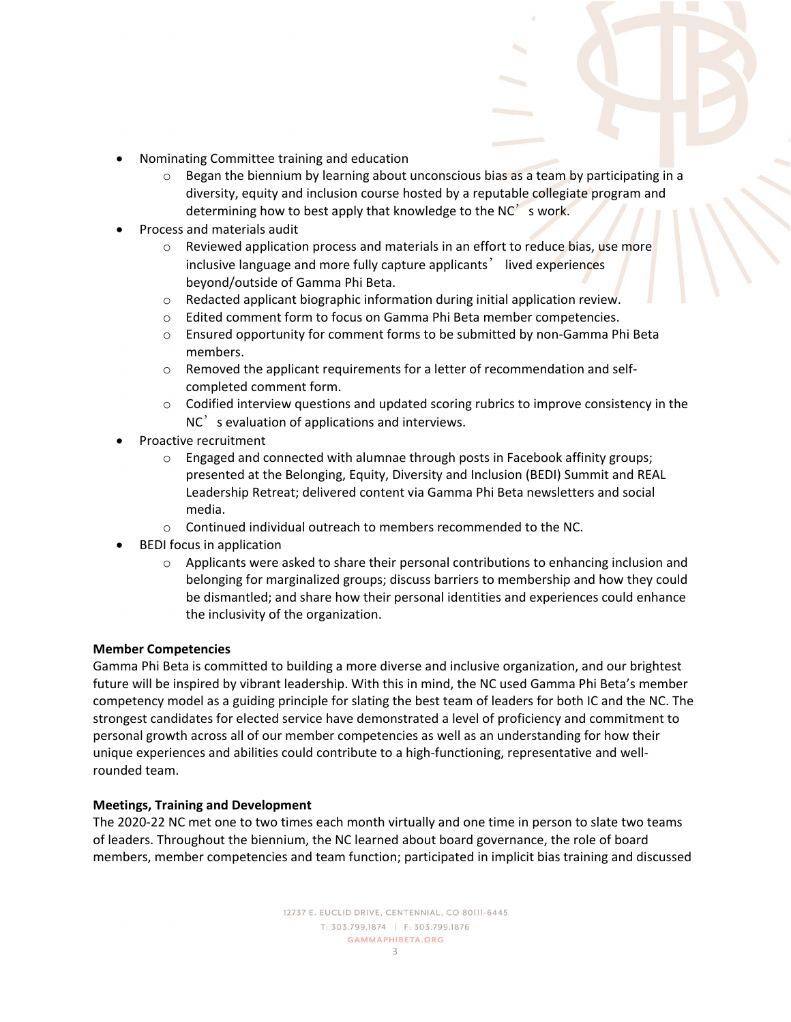- Nominating Committee training and education
	- $\circ$  Began the biennium by learning about unconscious bias as a team by participating in a diversity, equity and inclusion course hosted by a reputable collegiate program and determining how to best apply that knowledge to the NC's work.
- Process and materials audit
	- $\circ$  Reviewed application process and materials in an effort to reduce bias, use more inclusive language and more fully capture applicants' lived experiences beyond/outside of Gamma Phi Beta.
	- o Redacted applicant biographic information during initial application review.<br>  $\circ$  Edited comment form to focus on Gamma Phi Beta member competencies.
	- Edited comment form to focus on Gamma Phi Beta member competencies.
	- o Ensured opportunity for comment forms to be submitted by non-Gamma Phi Beta members.
	- o Removed the applicant requirements for a letter of recommendation and selfcompleted comment form.
	- o Codified interview questions and updated scoring rubrics to improve consistency in the NC<sup>'</sup> s evaluation of applications and interviews.
- Proactive recruitment
	- $\circ$  Engaged and connected with alumnae through posts in Facebook affinity groups; presented at the Belonging, Equity, Diversity and Inclusion (BEDI) Summit and REAL Leadership Retreat; delivered content via Gamma Phi Beta newsletters and social media.
	- o Continued individual outreach to members recommended to the NC.
- BEDI focus in application
	- $\circ$  Applicants were asked to share their personal contributions to enhancing inclusion and belonging for marginalized groups; discuss barriers to membership and how they could be dismantled; and share how their personal identities and experiences could enhance the inclusivity of the organization.

#### **Member Competencies**

Gamma Phi Beta is committed to building a more diverse and inclusive organization, and our brightest future will be inspired by vibrant leadership. With this in mind, the NC used Gamma Phi Beta's member competency model as a guiding principle for slating the best team of leaders for both IC and the NC. The strongest candidates for elected service have demonstrated a level of proficiency and commitment to personal growth across all of our member competencies as well as an understanding for how their unique experiences and abilities could contribute to a high-functioning, representative and wellrounded team.

#### **Meetings, Training and Development**

The 2020-22 NC met one to two times each month virtually and one time in person to slate two teams of leaders. Throughout the biennium, the NC learned about board governance, the role of board members, member competencies and team function; participated in implicit bias training and discussed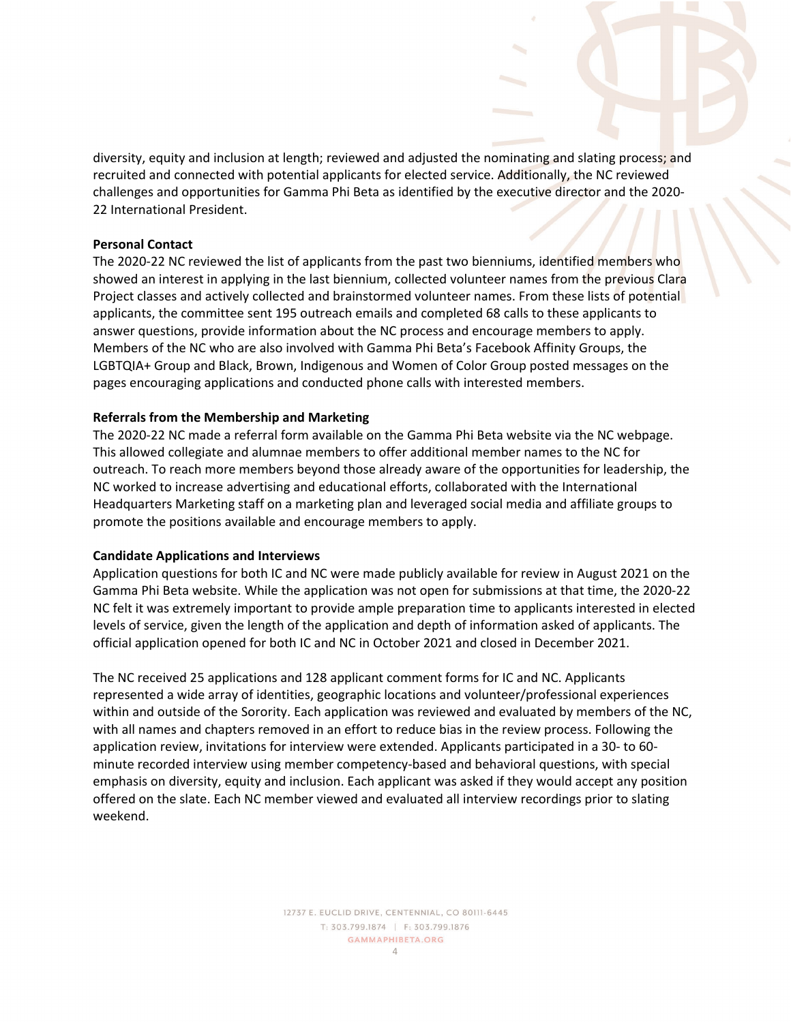diversity, equity and inclusion at length; reviewed and adjusted the nominating and slating process; and recruited and connected with potential applicants for elected service. Additionally, the NC reviewed challenges and opportunities for Gamma Phi Beta as identified by the executive director and the 2020- 22 International President.

#### **Personal Contact**

The 2020-22 NC reviewed the list of applicants from the past two bienniums, identified members who showed an interest in applying in the last biennium, collected volunteer names from the previous Clara Project classes and actively collected and brainstormed volunteer names. From these lists of potential applicants, the committee sent 195 outreach emails and completed 68 calls to these applicants to answer questions, provide information about the NC process and encourage members to apply. Members of the NC who are also involved with Gamma Phi Beta's Facebook Affinity Groups, the LGBTQIA+ Group and Black, Brown, Indigenous and Women of Color Group posted messages on the pages encouraging applications and conducted phone calls with interested members.

#### **Referrals from the Membership and Marketing**

The 2020-22 NC made a referral form available on the Gamma Phi Beta website via the NC webpage. This allowed collegiate and alumnae members to offer additional member names to the NC for outreach. To reach more members beyond those already aware of the opportunities for leadership, the NC worked to increase advertising and educational efforts, collaborated with the International Headquarters Marketing staff on a marketing plan and leveraged social media and affiliate groups to promote the positions available and encourage members to apply.

#### **Candidate Applications and Interviews**

Application questions for both IC and NC were made publicly available for review in August 2021 on the Gamma Phi Beta website. While the application was not open for submissions at that time, the 2020-22 NC felt it was extremely important to provide ample preparation time to applicants interested in elected levels of service, given the length of the application and depth of information asked of applicants. The official application opened for both IC and NC in October 2021 and closed in December 2021.

The NC received 25 applications and 128 applicant comment forms for IC and NC. Applicants represented a wide array of identities, geographic locations and volunteer/professional experiences within and outside of the Sorority. Each application was reviewed and evaluated by members of the NC, with all names and chapters removed in an effort to reduce bias in the review process. Following the application review, invitations for interview were extended. Applicants participated in a 30- to 60 minute recorded interview using member competency-based and behavioral questions, with special emphasis on diversity, equity and inclusion. Each applicant was asked if they would accept any position offered on the slate. Each NC member viewed and evaluated all interview recordings prior to slating weekend.

> 12737 E. EUCLID DRIVE, CENTENNIAL, CO 80111-6445 T: 303.799.1874 | F: 303.799.1876 **GAMMAPHIBETA.ORG**  $\Delta$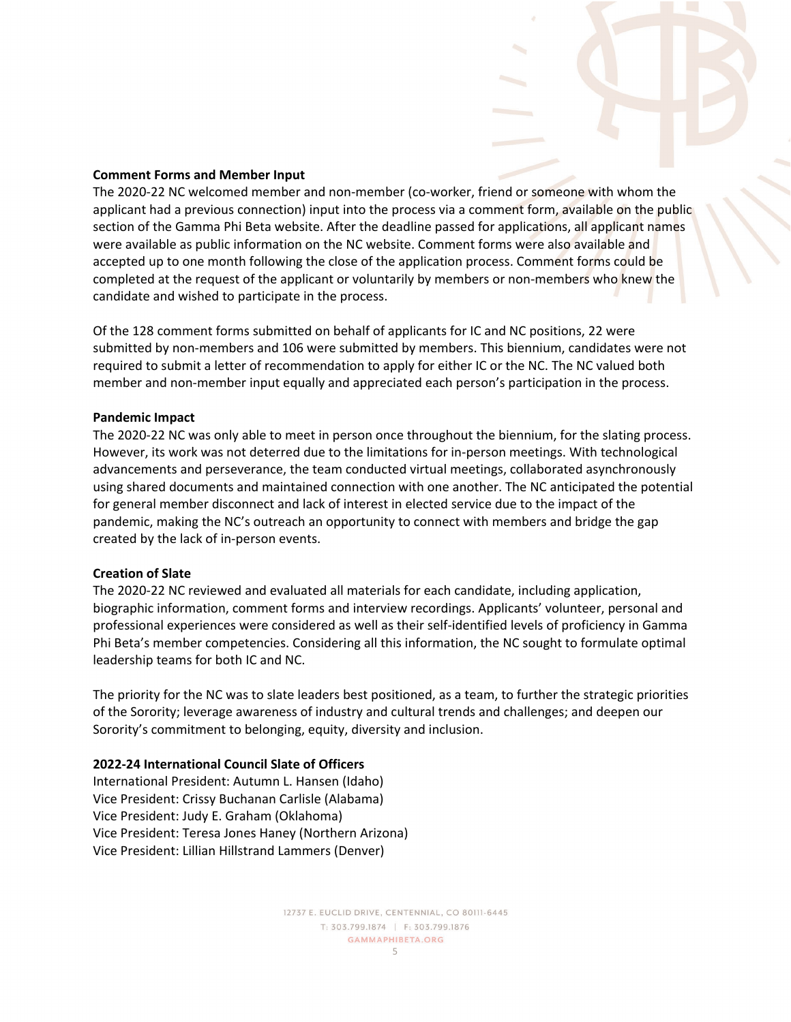#### **Comment Forms and Member Input**

The 2020-22 NC welcomed member and non-member (co-worker, friend or someone with whom the applicant had a previous connection) input into the process via a comment form, available on the public section of the Gamma Phi Beta website. After the deadline passed for applications, all applicant names were available as public information on the NC website. Comment forms were also available and accepted up to one month following the close of the application process. Comment forms could be completed at the request of the applicant or voluntarily by members or non-members who knew the candidate and wished to participate in the process.

Of the 128 comment forms submitted on behalf of applicants for IC and NC positions, 22 were submitted by non-members and 106 were submitted by members. This biennium, candidates were not required to submit a letter of recommendation to apply for either IC or the NC. The NC valued both member and non-member input equally and appreciated each person's participation in the process.

#### **Pandemic Impact**

The 2020-22 NC was only able to meet in person once throughout the biennium, for the slating process. However, its work was not deterred due to the limitations for in-person meetings. With technological advancements and perseverance, the team conducted virtual meetings, collaborated asynchronously using shared documents and maintained connection with one another. The NC anticipated the potential for general member disconnect and lack of interest in elected service due to the impact of the pandemic, making the NC's outreach an opportunity to connect with members and bridge the gap created by the lack of in-person events.

#### **Creation of Slate**

The 2020-22 NC reviewed and evaluated all materials for each candidate, including application, biographic information, comment forms and interview recordings. Applicants' volunteer, personal and professional experiences were considered as well as their self-identified levels of proficiency in Gamma Phi Beta's member competencies. Considering all this information, the NC sought to formulate optimal leadership teams for both IC and NC.

The priority for the NC was to slate leaders best positioned, as a team, to further the strategic priorities of the Sorority; leverage awareness of industry and cultural trends and challenges; and deepen our Sorority's commitment to belonging, equity, diversity and inclusion.

#### **2022-24 International Council Slate of Officers**

International President: Autumn L. Hansen (Idaho) Vice President: Crissy Buchanan Carlisle (Alabama) Vice President: Judy E. Graham (Oklahoma) Vice President: Teresa Jones Haney (Northern Arizona) Vice President: Lillian Hillstrand Lammers (Denver)

> 12737 E. EUCLID DRIVE, CENTENNIAL, CO 80111-6445 T: 303.799.1874 | F: 303.799.1876 **GAMMAPHIBETA.ORG** 5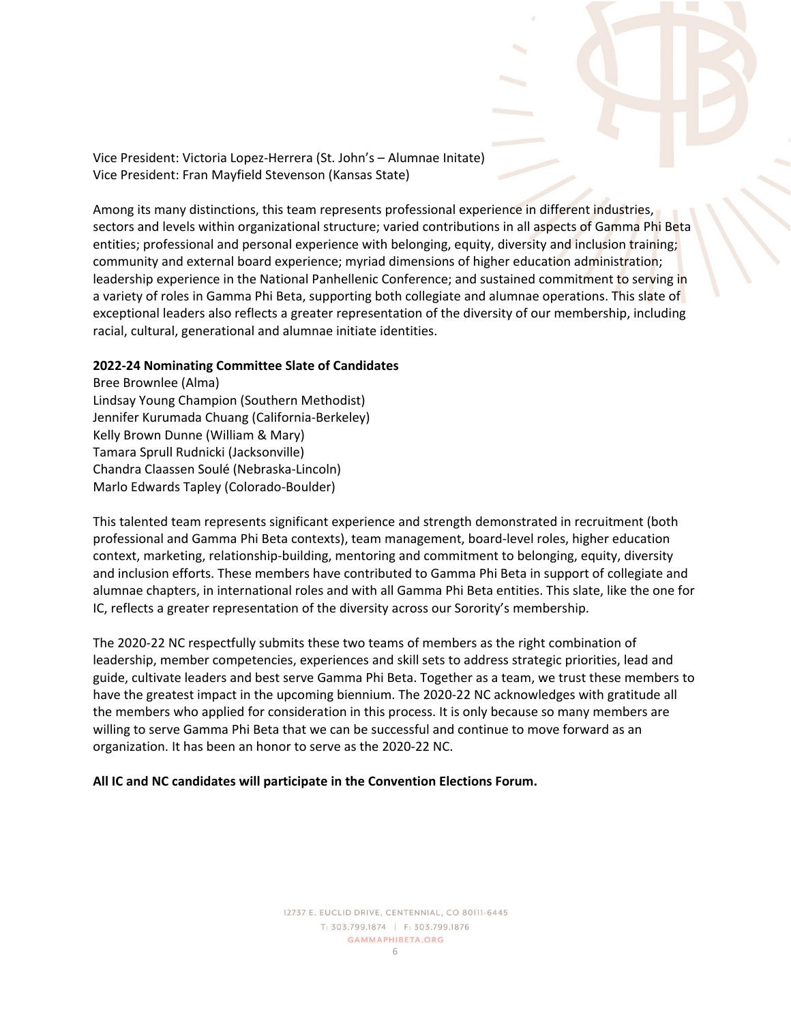Vice President: Victoria Lopez-Herrera (St. John's – Alumnae Initate) Vice President: Fran Mayfield Stevenson (Kansas State)

Among its many distinctions, this team represents professional experience in different industries, sectors and levels within organizational structure; varied contributions in all aspects of Gamma Phi Beta entities; professional and personal experience with belonging, equity, diversity and inclusion training; community and external board experience; myriad dimensions of higher education administration; leadership experience in the National Panhellenic Conference; and sustained commitment to serving in a variety of roles in Gamma Phi Beta, supporting both collegiate and alumnae operations. This slate of exceptional leaders also reflects a greater representation of the diversity of our membership, including racial, cultural, generational and alumnae initiate identities.

#### **2022-24 Nominating Committee Slate of Candidates**

Bree Brownlee (Alma) Lindsay Young Champion (Southern Methodist) Jennifer Kurumada Chuang (California-Berkeley) Kelly Brown Dunne (William & Mary) Tamara Sprull Rudnicki (Jacksonville) Chandra Claassen Soulé (Nebraska-Lincoln) Marlo Edwards Tapley (Colorado-Boulder)

This talented team represents significant experience and strength demonstrated in recruitment (both professional and Gamma Phi Beta contexts), team management, board-level roles, higher education context, marketing, relationship-building, mentoring and commitment to belonging, equity, diversity and inclusion efforts. These members have contributed to Gamma Phi Beta in support of collegiate and alumnae chapters, in international roles and with all Gamma Phi Beta entities. This slate, like the one for IC, reflects a greater representation of the diversity across our Sorority's membership.

The 2020-22 NC respectfully submits these two teams of members as the right combination of leadership, member competencies, experiences and skill sets to address strategic priorities, lead and guide, cultivate leaders and best serve Gamma Phi Beta. Together as a team, we trust these members to have the greatest impact in the upcoming biennium. The 2020-22 NC acknowledges with gratitude all the members who applied for consideration in this process. It is only because so many members are willing to serve Gamma Phi Beta that we can be successful and continue to move forward as an organization. It has been an honor to serve as the 2020-22 NC.

#### **All IC and NC candidates will participate in the Convention Elections Forum.**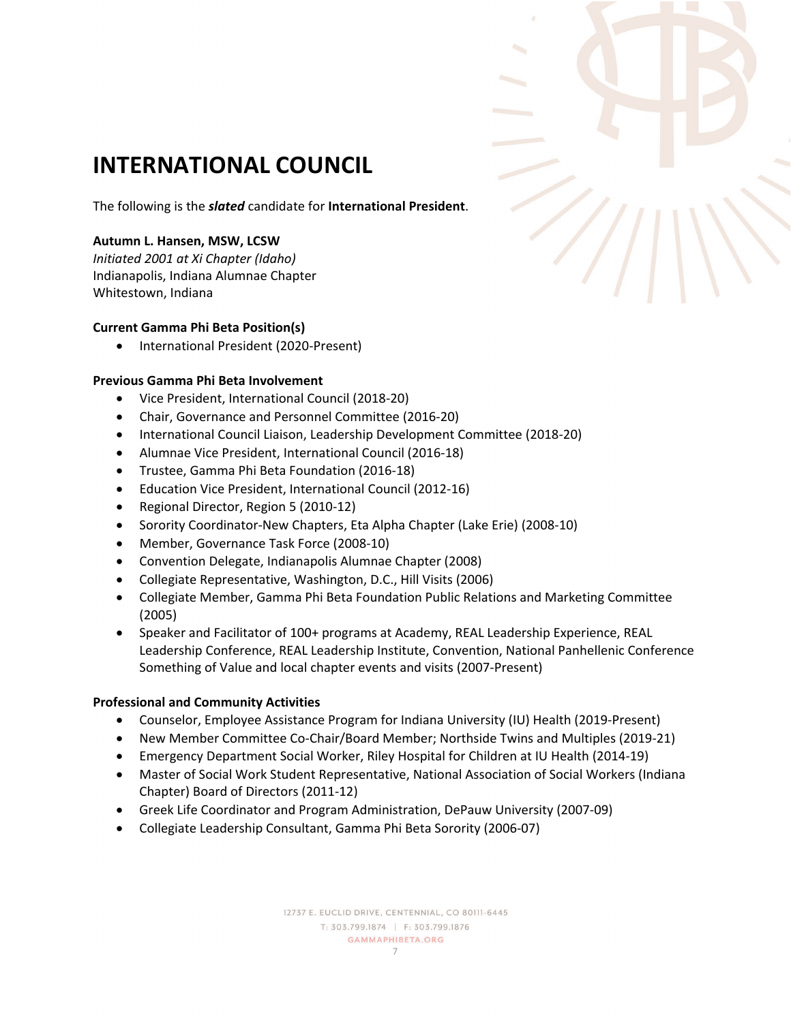

# **INTERNATIONAL COUNCIL**

The following is the *slated* candidate for **International President**.

# **Autumn L. Hansen, MSW, LCSW**

*Initiated 2001 at Xi Chapter (Idaho)*  Indianapolis, Indiana Alumnae Chapter Whitestown, Indiana

# **Current Gamma Phi Beta Position(s)**

• International President (2020-Present)

# **Previous Gamma Phi Beta Involvement**

- Vice President, International Council (2018-20)
- Chair, Governance and Personnel Committee (2016-20)
- International Council Liaison, Leadership Development Committee (2018-20)
- Alumnae Vice President, International Council (2016-18)
- Trustee, Gamma Phi Beta Foundation (2016-18)
- Education Vice President, International Council (2012-16)
- Regional Director, Region 5 (2010-12)
- Sorority Coordinator-New Chapters, Eta Alpha Chapter (Lake Erie) (2008-10)
- Member, Governance Task Force (2008-10)
- Convention Delegate, Indianapolis Alumnae Chapter (2008)
- Collegiate Representative, Washington, D.C., Hill Visits (2006)
- Collegiate Member, Gamma Phi Beta Foundation Public Relations and Marketing Committee (2005)
- Speaker and Facilitator of 100+ programs at Academy, REAL Leadership Experience, REAL Leadership Conference, REAL Leadership Institute, Convention, National Panhellenic Conference Something of Value and local chapter events and visits (2007-Present)

#### **Professional and Community Activities**

- Counselor, Employee Assistance Program for Indiana University (IU) Health (2019-Present)
- New Member Committee Co-Chair/Board Member; Northside Twins and Multiples (2019-21)
- Emergency Department Social Worker, Riley Hospital for Children at IU Health (2014-19)
- Master of Social Work Student Representative, National Association of Social Workers (Indiana Chapter) Board of Directors (2011-12)
- Greek Life Coordinator and Program Administration, DePauw University (2007-09)
- Collegiate Leadership Consultant, Gamma Phi Beta Sorority (2006-07)

12737 E. EUCLID DRIVE, CENTENNIAL, CO 80111-6445 T: 303.799.1874 | F: 303.799.1876 **GAMMAPHIBETA.ORG** 7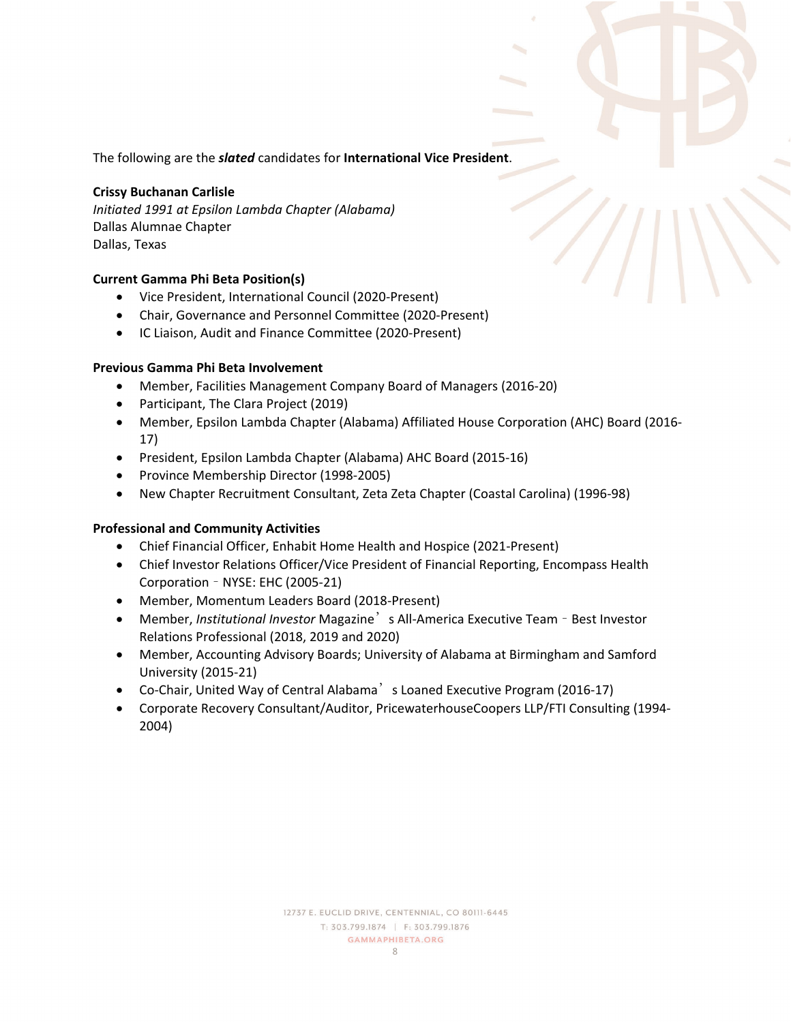The following are the *slated* candidates for **International Vice President**.

#### **Crissy Buchanan Carlisle**

*Initiated 1991 at Epsilon Lambda Chapter (Alabama)*  Dallas Alumnae Chapter Dallas, Texas

#### **Current Gamma Phi Beta Position(s)**

- Vice President, International Council (2020-Present)
- Chair, Governance and Personnel Committee (2020-Present)
- IC Liaison, Audit and Finance Committee (2020-Present)

#### **Previous Gamma Phi Beta Involvement**

- Member, Facilities Management Company Board of Managers (2016-20)
- Participant, The Clara Project (2019)
- Member, Epsilon Lambda Chapter (Alabama) Affiliated House Corporation (AHC) Board (2016- 17)
- President, Epsilon Lambda Chapter (Alabama) AHC Board (2015-16)
- Province Membership Director (1998-2005)
- New Chapter Recruitment Consultant, Zeta Zeta Chapter (Coastal Carolina) (1996-98)

- Chief Financial Officer, Enhabit Home Health and Hospice (2021-Present)
- Chief Investor Relations Officer/Vice President of Financial Reporting, Encompass Health Corporation – NYSE: EHC (2005-21)
- Member, Momentum Leaders Board (2018-Present)
- Member, *Institutional Investor* Magazine's All-America Executive Team Best Investor Relations Professional (2018, 2019 and 2020)
- Member, Accounting Advisory Boards; University of Alabama at Birmingham and Samford University (2015-21)
- Co-Chair, United Way of Central Alabama<sup>'</sup>s Loaned Executive Program (2016-17)
- Corporate Recovery Consultant/Auditor, PricewaterhouseCoopers LLP/FTI Consulting (1994- 2004)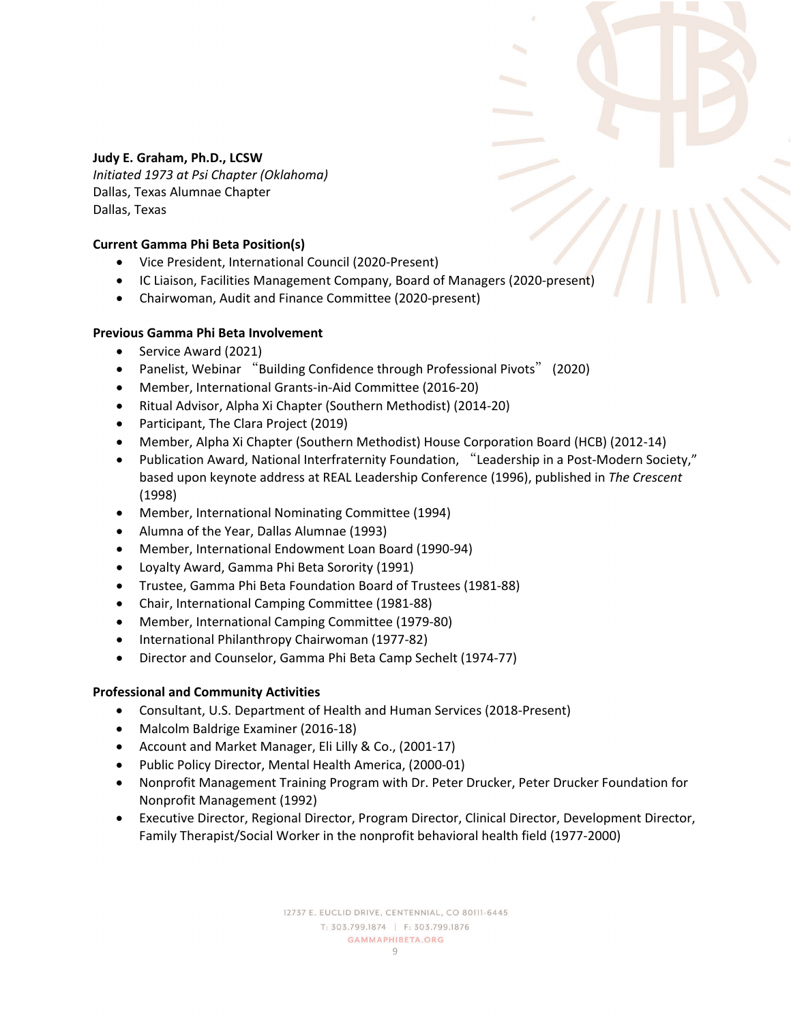# **Judy E. Graham, Ph.D., LCSW**

*Initiated 1973 at Psi Chapter (Oklahoma)*  Dallas, Texas Alumnae Chapter Dallas, Texas

#### **Current Gamma Phi Beta Position(s)**

- Vice President, International Council (2020-Present)
- IC Liaison, Facilities Management Company, Board of Managers (2020-present)
- Chairwoman, Audit and Finance Committee (2020-present)

#### **Previous Gamma Phi Beta Involvement**

- Service Award (2021)
- Panelist, Webinar "Building Confidence through Professional Pivots" (2020)
- Member, International Grants-in-Aid Committee (2016-20)
- Ritual Advisor, Alpha Xi Chapter (Southern Methodist) (2014-20)
- Participant, The Clara Project (2019)
- Member, Alpha Xi Chapter (Southern Methodist) House Corporation Board (HCB) (2012-14)
- Publication Award, National Interfraternity Foundation, "Leadership in a Post-Modern Society," based upon keynote address at REAL Leadership Conference (1996), published in *The Crescent* (1998)
- Member, International Nominating Committee (1994)
- Alumna of the Year, Dallas Alumnae (1993)
- Member, International Endowment Loan Board (1990-94)
- Loyalty Award, Gamma Phi Beta Sorority (1991)
- Trustee, Gamma Phi Beta Foundation Board of Trustees (1981-88)
- Chair, International Camping Committee (1981-88)
- Member, International Camping Committee (1979-80)
- International Philanthropy Chairwoman (1977-82)
- Director and Counselor, Gamma Phi Beta Camp Sechelt (1974-77)

- Consultant, U.S. Department of Health and Human Services (2018-Present)
- Malcolm Baldrige Examiner (2016-18)
- Account and Market Manager, Eli Lilly & Co., (2001-17)
- Public Policy Director, Mental Health America, (2000-01)
- Nonprofit Management Training Program with Dr. Peter Drucker, Peter Drucker Foundation for Nonprofit Management (1992)
- Executive Director, Regional Director, Program Director, Clinical Director, Development Director, Family Therapist/Social Worker in the nonprofit behavioral health field (1977-2000)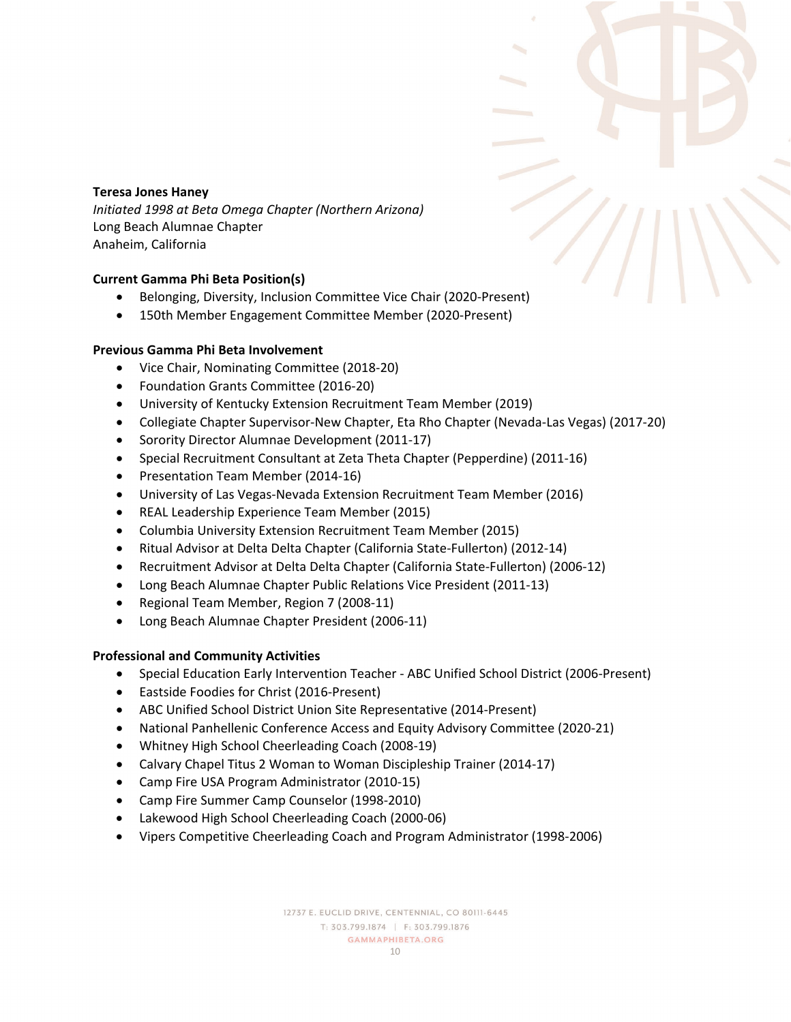#### **Teresa Jones Haney**

*Initiated 1998 at Beta Omega Chapter (Northern Arizona)*  Long Beach Alumnae Chapter Anaheim, California

# **Current Gamma Phi Beta Position(s)**

- Belonging, Diversity, Inclusion Committee Vice Chair (2020-Present)
- 150th Member Engagement Committee Member (2020-Present)

# **Previous Gamma Phi Beta Involvement**

- Vice Chair, Nominating Committee (2018-20)
- Foundation Grants Committee (2016-20)
- University of Kentucky Extension Recruitment Team Member (2019)
- Collegiate Chapter Supervisor-New Chapter, Eta Rho Chapter (Nevada-Las Vegas) (2017-20)
- Sorority Director Alumnae Development (2011-17)
- Special Recruitment Consultant at Zeta Theta Chapter (Pepperdine) (2011-16)
- Presentation Team Member (2014-16)
- University of Las Vegas-Nevada Extension Recruitment Team Member (2016)
- REAL Leadership Experience Team Member (2015)
- Columbia University Extension Recruitment Team Member (2015)
- Ritual Advisor at Delta Delta Chapter (California State-Fullerton) (2012-14)
- Recruitment Advisor at Delta Delta Chapter (California State-Fullerton) (2006-12)
- Long Beach Alumnae Chapter Public Relations Vice President (2011-13)
- Regional Team Member, Region 7 (2008-11)
- Long Beach Alumnae Chapter President (2006-11)

- Special Education Early Intervention Teacher ABC Unified School District (2006-Present)
- Eastside Foodies for Christ (2016-Present)
- ABC Unified School District Union Site Representative (2014-Present)
- National Panhellenic Conference Access and Equity Advisory Committee (2020-21)
- Whitney High School Cheerleading Coach (2008-19)
- Calvary Chapel Titus 2 Woman to Woman Discipleship Trainer (2014-17)
- Camp Fire USA Program Administrator (2010-15)
- Camp Fire Summer Camp Counselor (1998-2010)
- Lakewood High School Cheerleading Coach (2000-06)
- Vipers Competitive Cheerleading Coach and Program Administrator (1998-2006)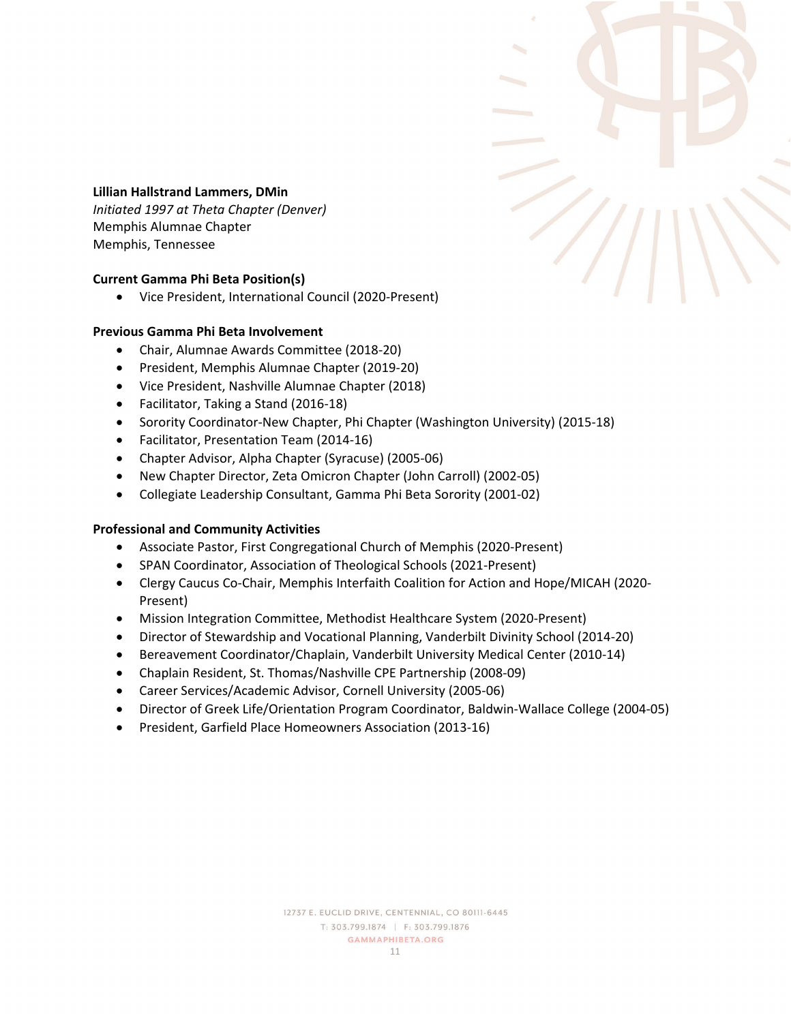

#### **Lillian Hallstrand Lammers, DMin**

*Initiated 1997 at Theta Chapter (Denver)*  Memphis Alumnae Chapter Memphis, Tennessee

#### **Current Gamma Phi Beta Position(s)**

• Vice President, International Council (2020-Present)

#### **Previous Gamma Phi Beta Involvement**

- Chair, Alumnae Awards Committee (2018-20)
- President, Memphis Alumnae Chapter (2019-20)
- Vice President, Nashville Alumnae Chapter (2018)
- Facilitator, Taking a Stand (2016-18)
- Sorority Coordinator-New Chapter, Phi Chapter (Washington University) (2015-18)
- Facilitator, Presentation Team (2014-16)
- Chapter Advisor, Alpha Chapter (Syracuse) (2005-06)
- New Chapter Director, Zeta Omicron Chapter (John Carroll) (2002-05)
- Collegiate Leadership Consultant, Gamma Phi Beta Sorority (2001-02)

- Associate Pastor, First Congregational Church of Memphis (2020-Present)
- SPAN Coordinator, Association of Theological Schools (2021-Present)
- Clergy Caucus Co-Chair, Memphis Interfaith Coalition for Action and Hope/MICAH (2020- Present)
- Mission Integration Committee, Methodist Healthcare System (2020-Present)
- Director of Stewardship and Vocational Planning, Vanderbilt Divinity School (2014-20)
- Bereavement Coordinator/Chaplain, Vanderbilt University Medical Center (2010-14)
- Chaplain Resident, St. Thomas/Nashville CPE Partnership (2008-09)
- Career Services/Academic Advisor, Cornell University (2005-06)
- Director of Greek Life/Orientation Program Coordinator, Baldwin-Wallace College (2004-05)
- President, Garfield Place Homeowners Association (2013-16)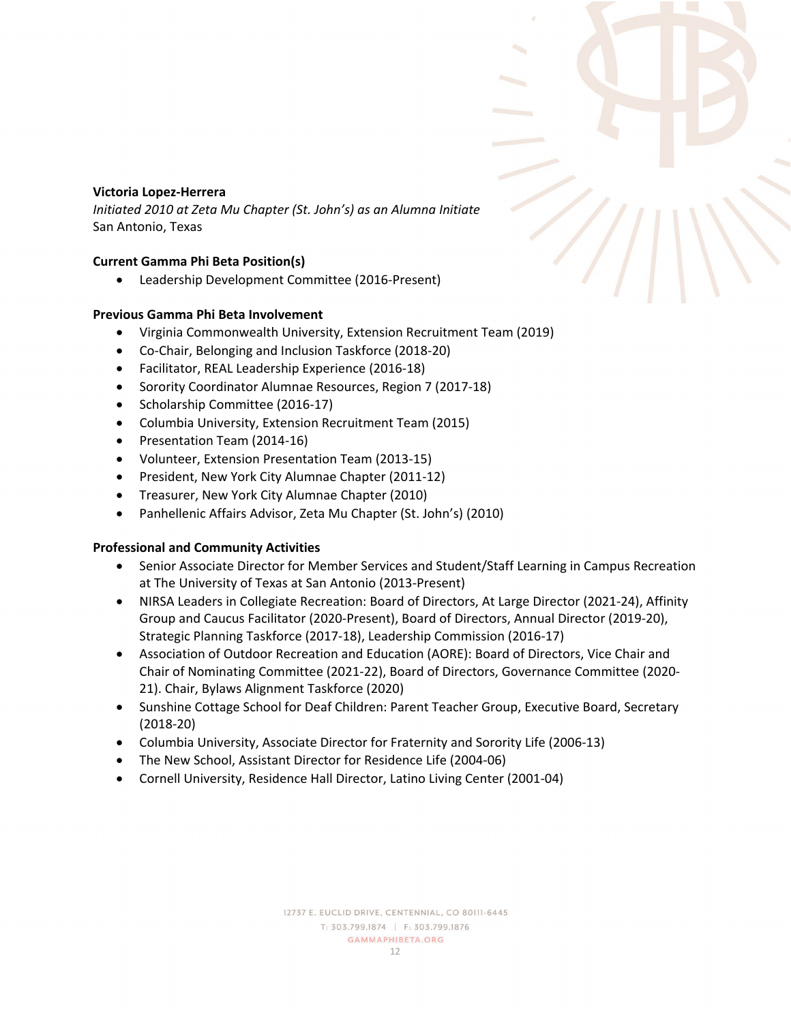# **Victoria Lopez-Herrera**

*Initiated 2010 at Zeta Mu Chapter (St. John's) as an Alumna Initiate* San Antonio, Texas

# **Current Gamma Phi Beta Position(s)**

• Leadership Development Committee (2016-Present)

#### **Previous Gamma Phi Beta Involvement**

- Virginia Commonwealth University, Extension Recruitment Team (2019)
- Co-Chair, Belonging and Inclusion Taskforce (2018-20)
- Facilitator, REAL Leadership Experience (2016-18)
- Sorority Coordinator Alumnae Resources, Region 7 (2017-18)
- Scholarship Committee (2016-17)
- Columbia University, Extension Recruitment Team (2015)
- Presentation Team (2014-16)
- Volunteer, Extension Presentation Team (2013-15)
- President, New York City Alumnae Chapter (2011-12)
- Treasurer, New York City Alumnae Chapter (2010)
- Panhellenic Affairs Advisor, Zeta Mu Chapter (St. John's) (2010)

- Senior Associate Director for Member Services and Student/Staff Learning in Campus Recreation at The University of Texas at San Antonio (2013-Present)
- NIRSA Leaders in Collegiate Recreation: Board of Directors, At Large Director (2021-24), Affinity Group and Caucus Facilitator (2020-Present), Board of Directors, Annual Director (2019-20), Strategic Planning Taskforce (2017-18), Leadership Commission (2016-17)
- Association of Outdoor Recreation and Education (AORE): Board of Directors, Vice Chair and Chair of Nominating Committee (2021-22), Board of Directors, Governance Committee (2020- 21). Chair, Bylaws Alignment Taskforce (2020)
- Sunshine Cottage School for Deaf Children: Parent Teacher Group, Executive Board, Secretary (2018-20)
- Columbia University, Associate Director for Fraternity and Sorority Life (2006-13)
- The New School, Assistant Director for Residence Life (2004-06)
- Cornell University, Residence Hall Director, Latino Living Center (2001-04)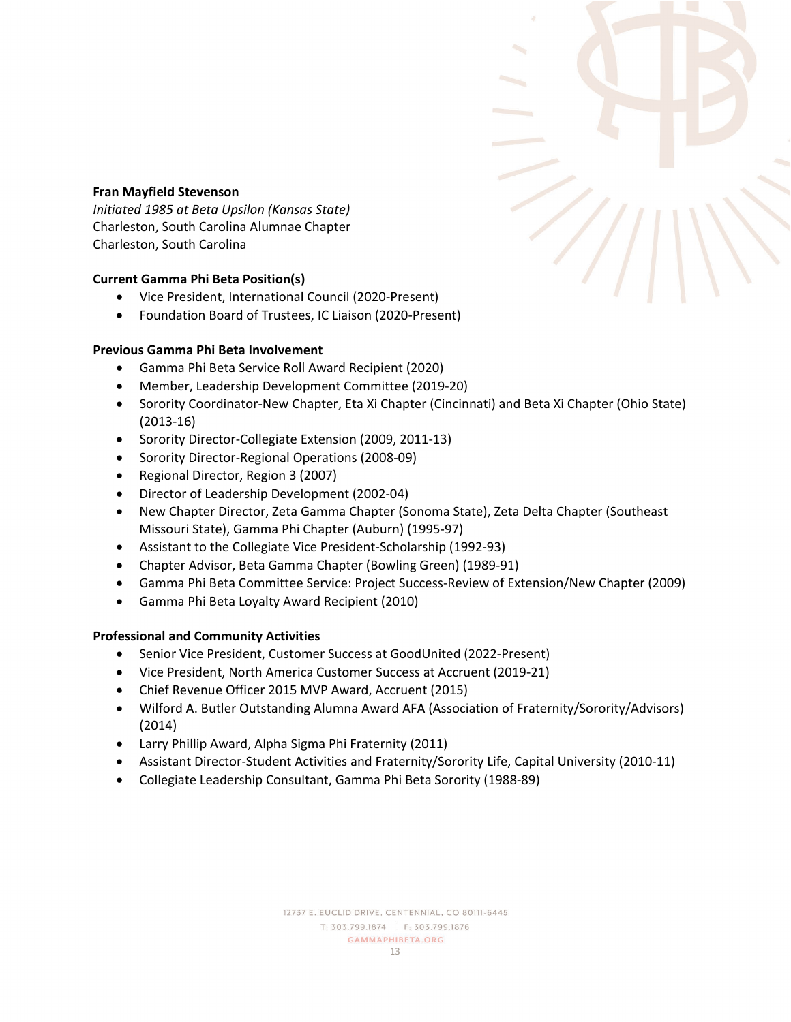

#### **Fran Mayfield Stevenson**

*Initiated 1985 at Beta Upsilon (Kansas State)*  Charleston, South Carolina Alumnae Chapter Charleston, South Carolina

#### **Current Gamma Phi Beta Position(s)**

- Vice President, International Council (2020-Present)
- Foundation Board of Trustees, IC Liaison (2020-Present)

# **Previous Gamma Phi Beta Involvement**

- Gamma Phi Beta Service Roll Award Recipient (2020)
- Member, Leadership Development Committee (2019-20)
- Sorority Coordinator-New Chapter, Eta Xi Chapter (Cincinnati) and Beta Xi Chapter (Ohio State) (2013-16)
- Sorority Director-Collegiate Extension (2009, 2011-13)
- Sorority Director-Regional Operations (2008-09)
- Regional Director, Region 3 (2007)
- Director of Leadership Development (2002-04)
- New Chapter Director, Zeta Gamma Chapter (Sonoma State), Zeta Delta Chapter (Southeast Missouri State), Gamma Phi Chapter (Auburn) (1995-97)
- Assistant to the Collegiate Vice President-Scholarship (1992-93)
- Chapter Advisor, Beta Gamma Chapter (Bowling Green) (1989-91)
- Gamma Phi Beta Committee Service: Project Success-Review of Extension/New Chapter (2009)
- Gamma Phi Beta Loyalty Award Recipient (2010)

- Senior Vice President, Customer Success at GoodUnited (2022-Present)
- Vice President, North America Customer Success at Accruent (2019-21)
- Chief Revenue Officer 2015 MVP Award, Accruent (2015)
- Wilford A. Butler Outstanding Alumna Award AFA (Association of Fraternity/Sorority/Advisors) (2014)
- Larry Phillip Award, Alpha Sigma Phi Fraternity (2011)
- Assistant Director-Student Activities and Fraternity/Sorority Life, Capital University (2010-11)
- Collegiate Leadership Consultant, Gamma Phi Beta Sorority (1988-89)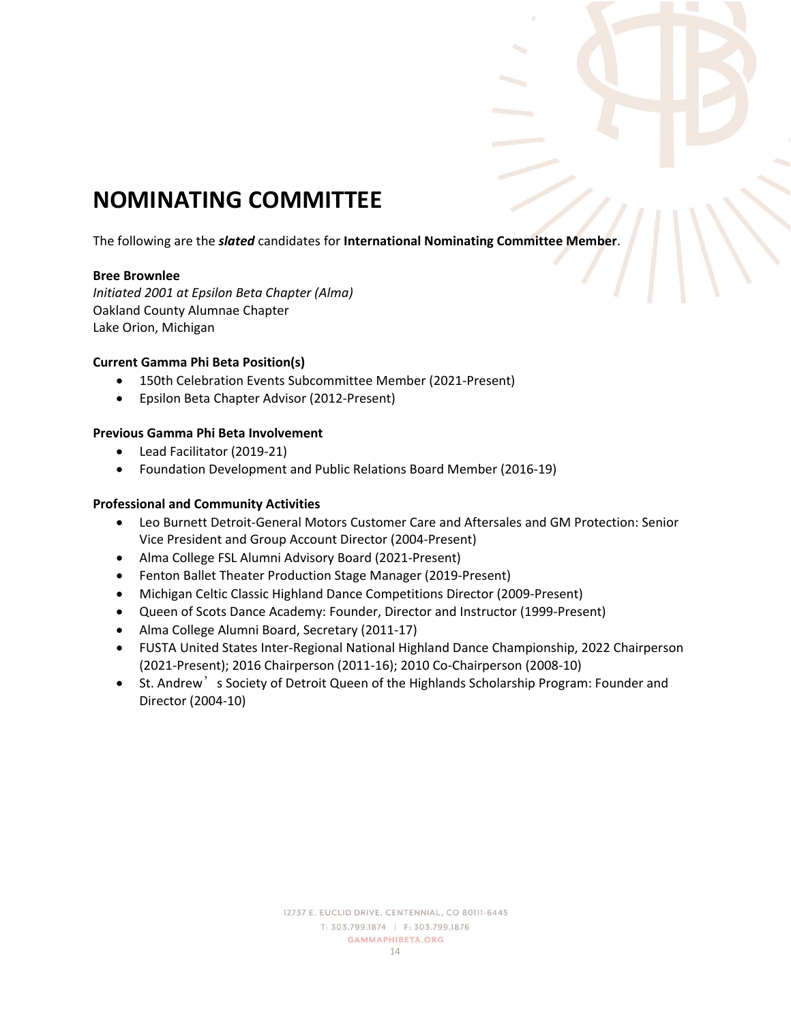# **NOMINATING COMMITTEE**

The following are the *slated* candidates for **International Nominating Committee Member**.

#### **Bree Brownlee**

*Initiated 2001 at Epsilon Beta Chapter (Alma)*  Oakland County Alumnae Chapter Lake Orion, Michigan

# **Current Gamma Phi Beta Position(s)**

- 150th Celebration Events Subcommittee Member (2021-Present)
- Epsilon Beta Chapter Advisor (2012-Present)

# **Previous Gamma Phi Beta Involvement**

- Lead Facilitator (2019-21)
- Foundation Development and Public Relations Board Member (2016-19)

- Leo Burnett Detroit-General Motors Customer Care and Aftersales and GM Protection: Senior Vice President and Group Account Director (2004-Present)
- Alma College FSL Alumni Advisory Board (2021-Present)
- Fenton Ballet Theater Production Stage Manager (2019-Present)
- Michigan Celtic Classic Highland Dance Competitions Director (2009-Present)
- Queen of Scots Dance Academy: Founder, Director and Instructor (1999-Present)
- Alma College Alumni Board, Secretary (2011-17)
- FUSTA United States Inter-Regional National Highland Dance Championship, 2022 Chairperson (2021-Present); 2016 Chairperson (2011-16); 2010 Co-Chairperson (2008-10)
- St. Andrew's Society of Detroit Queen of the Highlands Scholarship Program: Founder and Director (2004-10)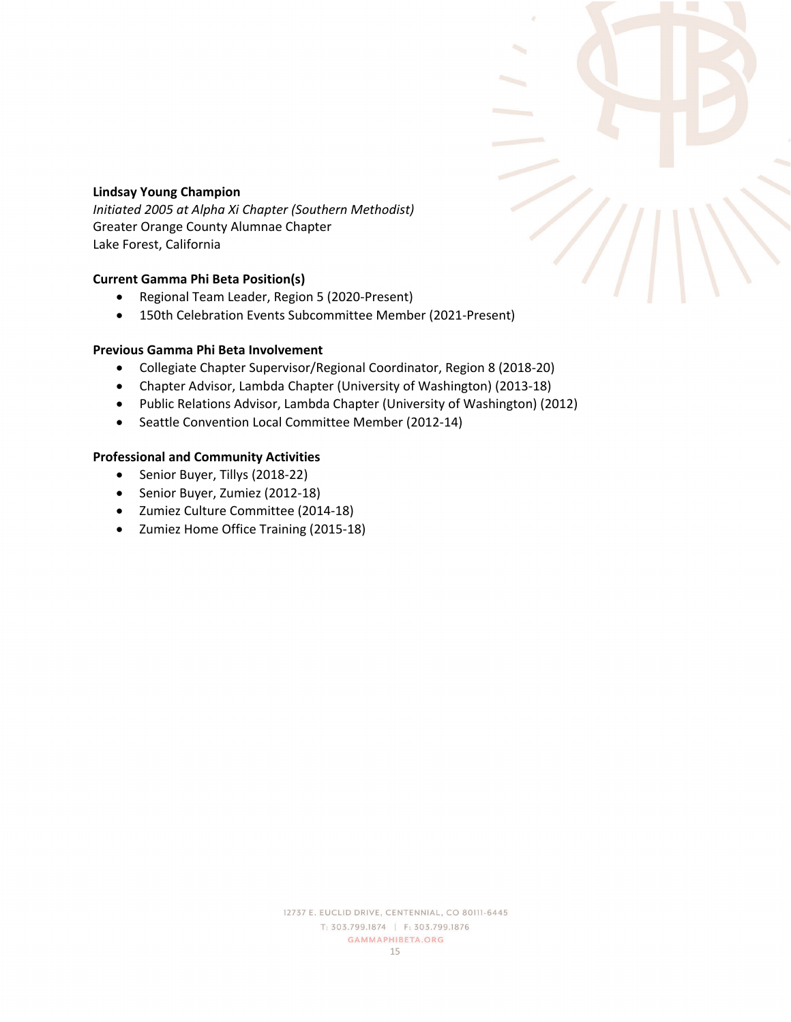# **Lindsay Young Champion**

*Initiated 2005 at Alpha Xi Chapter (Southern Methodist)*  Greater Orange County Alumnae Chapter Lake Forest, California

# **Current Gamma Phi Beta Position(s)**

- Regional Team Leader, Region 5 (2020-Present)
- 150th Celebration Events Subcommittee Member (2021-Present)

# **Previous Gamma Phi Beta Involvement**

- Collegiate Chapter Supervisor/Regional Coordinator, Region 8 (2018-20)
- Chapter Advisor, Lambda Chapter (University of Washington) (2013-18)
- Public Relations Advisor, Lambda Chapter (University of Washington) (2012)
- Seattle Convention Local Committee Member (2012-14)

- Senior Buyer, Tillys (2018-22)
- Senior Buyer, Zumiez (2012-18)
- Zumiez Culture Committee (2014-18)
- Zumiez Home Office Training (2015-18)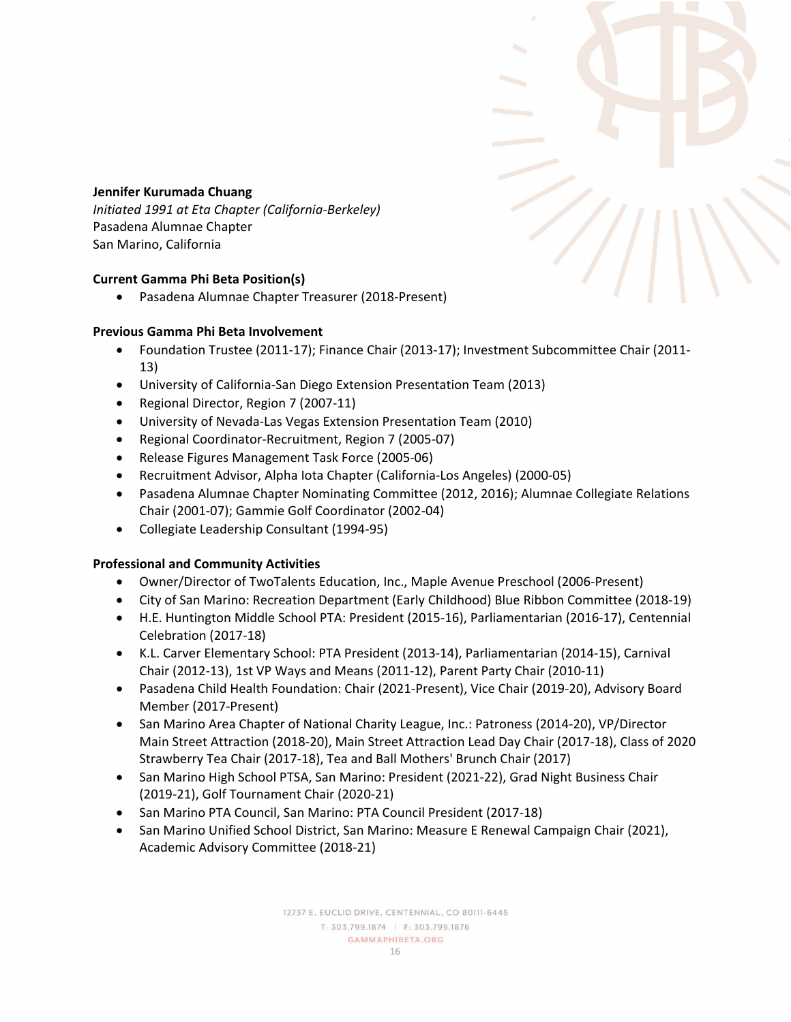# **Jennifer Kurumada Chuang**

*Initiated 1991 at Eta Chapter (California-Berkeley)*  Pasadena Alumnae Chapter San Marino, California

# **Current Gamma Phi Beta Position(s)**

• Pasadena Alumnae Chapter Treasurer (2018-Present)

# **Previous Gamma Phi Beta Involvement**

- Foundation Trustee (2011-17); Finance Chair (2013-17); Investment Subcommittee Chair (2011- 13)
- University of California-San Diego Extension Presentation Team (2013)
- Regional Director, Region 7 (2007-11)
- University of Nevada-Las Vegas Extension Presentation Team (2010)
- Regional Coordinator-Recruitment, Region 7 (2005-07)
- Release Figures Management Task Force (2005-06)
- Recruitment Advisor, Alpha Iota Chapter (California-Los Angeles) (2000-05)
- Pasadena Alumnae Chapter Nominating Committee (2012, 2016); Alumnae Collegiate Relations Chair (2001-07); Gammie Golf Coordinator (2002-04)
- Collegiate Leadership Consultant (1994-95)

- Owner/Director of TwoTalents Education, Inc., Maple Avenue Preschool (2006-Present)
- City of San Marino: Recreation Department (Early Childhood) Blue Ribbon Committee (2018-19)
- H.E. Huntington Middle School PTA: President (2015-16), Parliamentarian (2016-17), Centennial Celebration (2017-18)
- K.L. Carver Elementary School: PTA President (2013-14), Parliamentarian (2014-15), Carnival Chair (2012-13), 1st VP Ways and Means (2011-12), Parent Party Chair (2010-11)
- Pasadena Child Health Foundation: Chair (2021-Present), Vice Chair (2019-20), Advisory Board Member (2017-Present)
- San Marino Area Chapter of National Charity League, Inc.: Patroness (2014-20), VP/Director Main Street Attraction (2018-20), Main Street Attraction Lead Day Chair (2017-18), Class of 2020 Strawberry Tea Chair (2017-18), Tea and Ball Mothers' Brunch Chair (2017)
- San Marino High School PTSA, San Marino: President (2021-22), Grad Night Business Chair (2019-21), Golf Tournament Chair (2020-21)
- San Marino PTA Council, San Marino: PTA Council President (2017-18)
- San Marino Unified School District, San Marino: Measure E Renewal Campaign Chair (2021), Academic Advisory Committee (2018-21)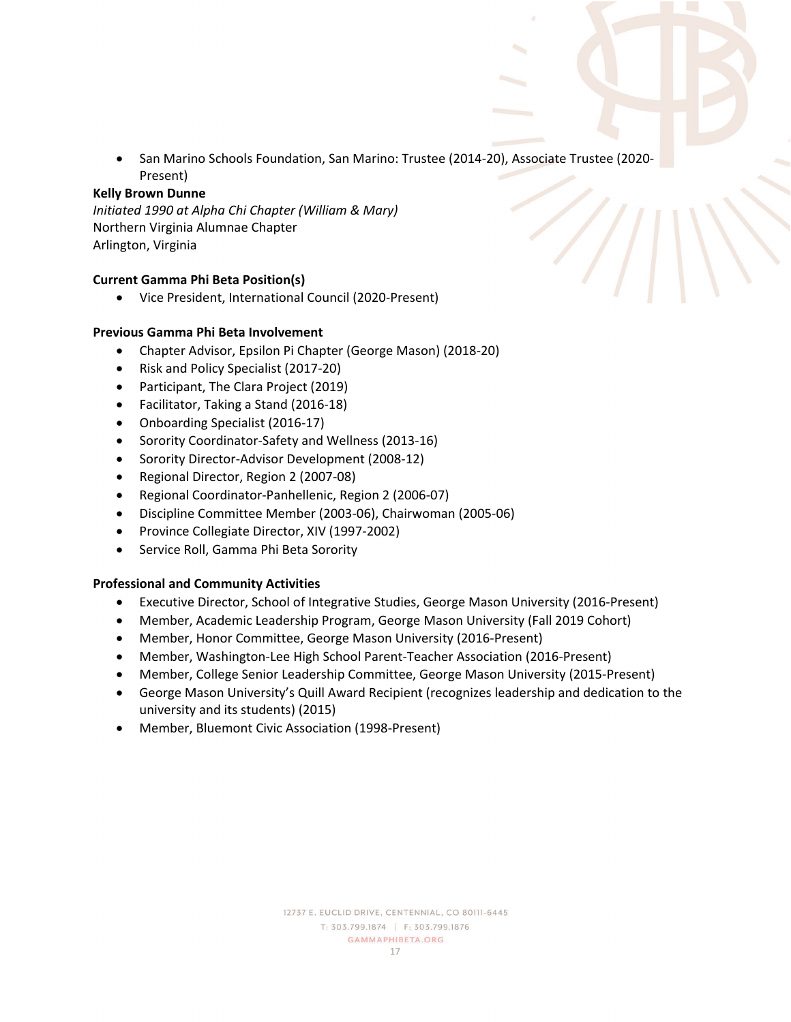• San Marino Schools Foundation, San Marino: Trustee (2014-20), Associate Trustee (2020- Present)

#### **Kelly Brown Dunne**

*Initiated 1990 at Alpha Chi Chapter (William & Mary)*  Northern Virginia Alumnae Chapter Arlington, Virginia

#### **Current Gamma Phi Beta Position(s)**

• Vice President, International Council (2020-Present)

#### **Previous Gamma Phi Beta Involvement**

- Chapter Advisor, Epsilon Pi Chapter (George Mason) (2018-20)
- Risk and Policy Specialist (2017-20)
- Participant, The Clara Project (2019)
- Facilitator, Taking a Stand (2016-18)
- Onboarding Specialist (2016-17)
- Sorority Coordinator-Safety and Wellness (2013-16)
- Sorority Director-Advisor Development (2008-12)
- Regional Director, Region 2 (2007-08)
- Regional Coordinator-Panhellenic, Region 2 (2006-07)
- Discipline Committee Member (2003-06), Chairwoman (2005-06)
- Province Collegiate Director, XIV (1997-2002)
- Service Roll, Gamma Phi Beta Sorority

- Executive Director, School of Integrative Studies, George Mason University (2016-Present)
- Member, Academic Leadership Program, George Mason University (Fall 2019 Cohort)
- Member, Honor Committee, George Mason University (2016-Present)
- Member, Washington-Lee High School Parent-Teacher Association (2016-Present)
- Member, College Senior Leadership Committee, George Mason University (2015-Present)
- George Mason University's Quill Award Recipient (recognizes leadership and dedication to the university and its students) (2015)
- Member, Bluemont Civic Association (1998-Present)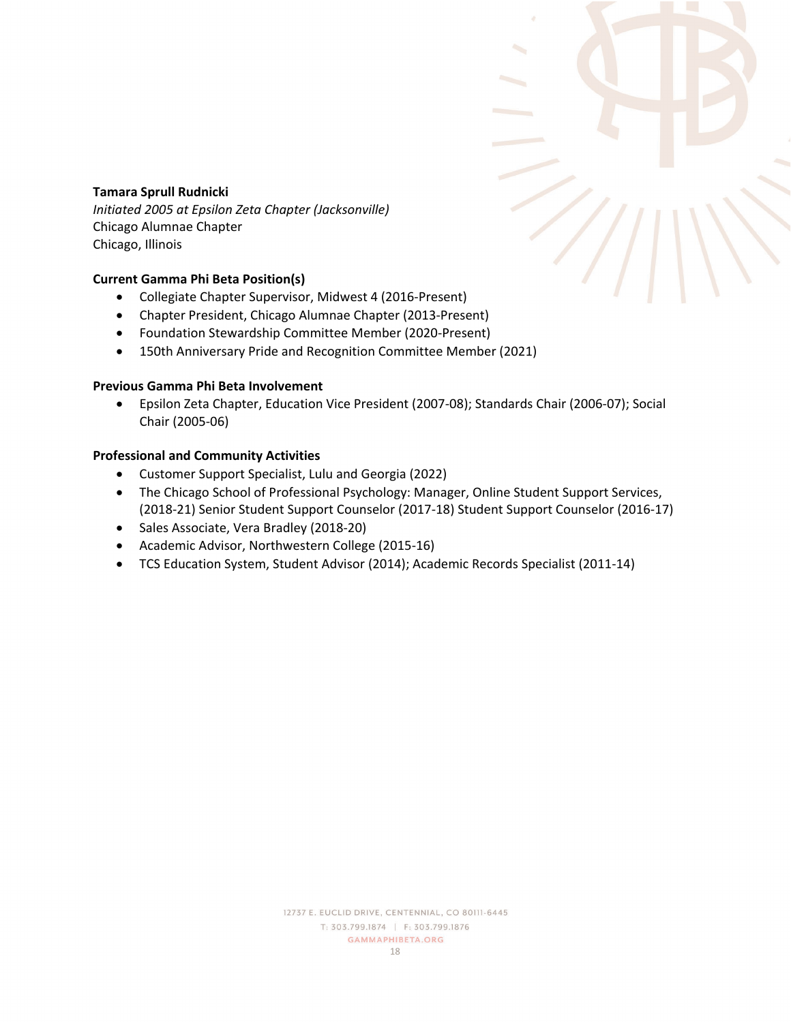# **Tamara Sprull Rudnicki**

*Initiated 2005 at Epsilon Zeta Chapter (Jacksonville)*  Chicago Alumnae Chapter Chicago, Illinois

#### **Current Gamma Phi Beta Position(s)**

- Collegiate Chapter Supervisor, Midwest 4 (2016-Present)
- Chapter President, Chicago Alumnae Chapter (2013-Present)
- Foundation Stewardship Committee Member (2020-Present)
- 150th Anniversary Pride and Recognition Committee Member (2021)

#### **Previous Gamma Phi Beta Involvement**

• Epsilon Zeta Chapter, Education Vice President (2007-08); Standards Chair (2006-07); Social Chair (2005-06)

- Customer Support Specialist, Lulu and Georgia (2022)
- The Chicago School of Professional Psychology: Manager, Online Student Support Services, (2018-21) Senior Student Support Counselor (2017-18) Student Support Counselor (2016-17)
- Sales Associate, Vera Bradley (2018-20)
- Academic Advisor, Northwestern College (2015-16)
- TCS Education System, Student Advisor (2014); Academic Records Specialist (2011-14)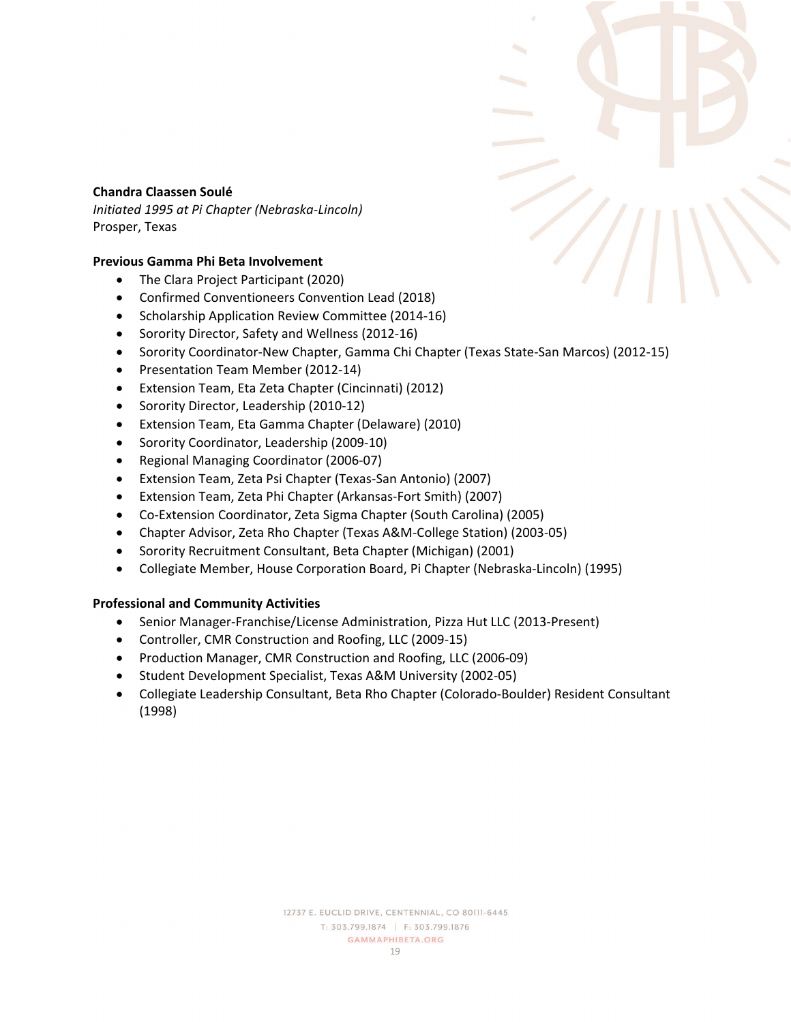# **Chandra Claassen Soulé**

*Initiated 1995 at Pi Chapter (Nebraska-Lincoln)*  Prosper, Texas

# **Previous Gamma Phi Beta Involvement**

- The Clara Project Participant (2020)
- Confirmed Conventioneers Convention Lead (2018)
- Scholarship Application Review Committee (2014-16)
- Sorority Director, Safety and Wellness (2012-16)
- Sorority Coordinator-New Chapter, Gamma Chi Chapter (Texas State-San Marcos) (2012-15)
- Presentation Team Member (2012-14)
- Extension Team, Eta Zeta Chapter (Cincinnati) (2012)
- Sorority Director, Leadership (2010-12)
- Extension Team, Eta Gamma Chapter (Delaware) (2010)
- Sorority Coordinator, Leadership (2009-10)
- Regional Managing Coordinator (2006-07)
- Extension Team, Zeta Psi Chapter (Texas-San Antonio) (2007)
- Extension Team, Zeta Phi Chapter (Arkansas-Fort Smith) (2007)
- Co-Extension Coordinator, Zeta Sigma Chapter (South Carolina) (2005)
- Chapter Advisor, Zeta Rho Chapter (Texas A&M-College Station) (2003-05)
- Sorority Recruitment Consultant, Beta Chapter (Michigan) (2001)
- Collegiate Member, House Corporation Board, Pi Chapter (Nebraska-Lincoln) (1995)

- Senior Manager-Franchise/License Administration, Pizza Hut LLC (2013-Present)
- Controller, CMR Construction and Roofing, LLC (2009-15)
- Production Manager, CMR Construction and Roofing, LLC (2006-09)
- Student Development Specialist, Texas A&M University (2002-05)
- Collegiate Leadership Consultant, Beta Rho Chapter (Colorado-Boulder) Resident Consultant (1998)